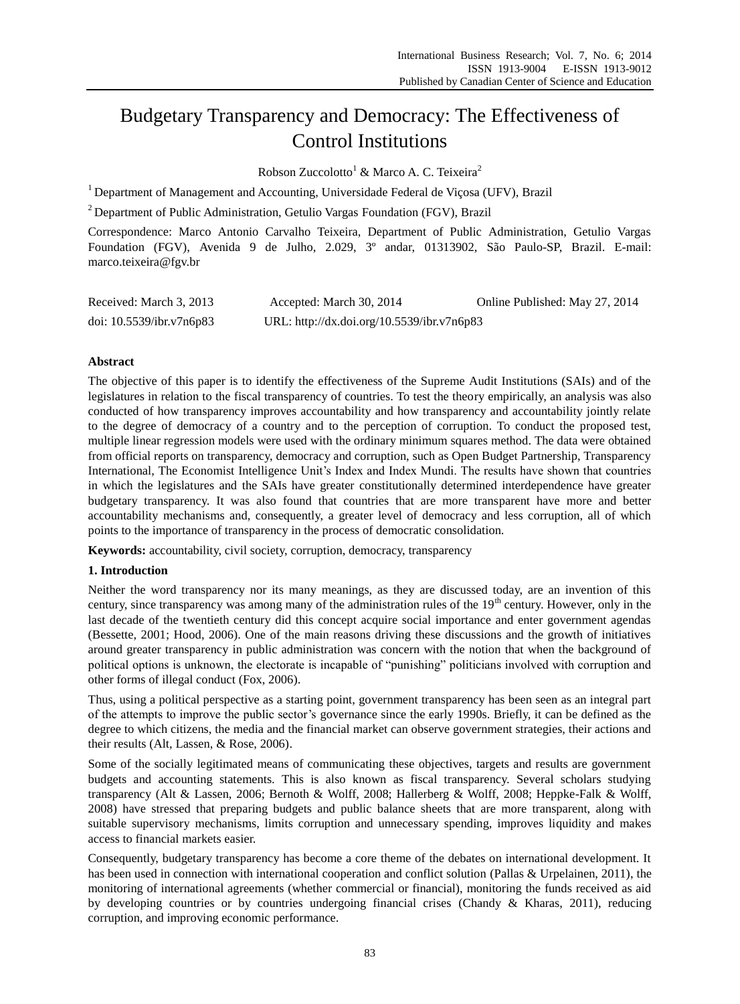# Budgetary Transparency and Democracy: The Effectiveness of Control Institutions

Robson Zuccolotto<sup>1</sup> & Marco A. C. Teixeira<sup>2</sup>

 $1$  Department of Management and Accounting, Universidade Federal de Vi $\cos a$  (UFV), Brazil

<sup>2</sup> Department of Public Administration, Getulio Vargas Foundation (FGV), Brazil

Correspondence: Marco Antonio Carvalho Teixeira, Department of Public Administration, Getulio Vargas Foundation (FGV), Avenida 9 de Julho, 2.029, 3º andar, 01313902, São Paulo-SP, Brazil. E-mail: marco.teixeira@fgv.br

| Received: March 3, 2013     | Accepted: March 30, 2014                   | Online Published: May 27, 2014 |
|-----------------------------|--------------------------------------------|--------------------------------|
| doi: $10.5539$ /ibr.v7n6p83 | URL: http://dx.doi.org/10.5539/ibr.v7n6p83 |                                |

# **Abstract**

The objective of this paper is to identify the effectiveness of the Supreme Audit Institutions (SAIs) and of the legislatures in relation to the fiscal transparency of countries. To test the theory empirically, an analysis was also conducted of how transparency improves accountability and how transparency and accountability jointly relate to the degree of democracy of a country and to the perception of corruption. To conduct the proposed test, multiple linear regression models were used with the ordinary minimum squares method. The data were obtained from official reports on transparency, democracy and corruption, such as Open Budget Partnership, Transparency International, The Economist Intelligence Unit's Index and Index Mundi. The results have shown that countries in which the legislatures and the SAIs have greater constitutionally determined interdependence have greater budgetary transparency. It was also found that countries that are more transparent have more and better accountability mechanisms and, consequently, a greater level of democracy and less corruption, all of which points to the importance of transparency in the process of democratic consolidation.

**Keywords:** accountability, civil society, corruption, democracy, transparency

# **1. Introduction**

Neither the word transparency nor its many meanings, as they are discussed today, are an invention of this century, since transparency was among many of the administration rules of the  $19<sup>th</sup>$  century. However, only in the last decade of the twentieth century did this concept acquire social importance and enter government agendas (Bessette, 2001; Hood, 2006). One of the main reasons driving these discussions and the growth of initiatives around greater transparency in public administration was concern with the notion that when the background of political options is unknown, the electorate is incapable of "punishing" politicians involved with corruption and other forms of illegal conduct (Fox, 2006).

Thus, using a political perspective as a starting point, government transparency has been seen as an integral part of the attempts to improve the public sector's governance since the early 1990s. Briefly, it can be defined as the degree to which citizens, the media and the financial market can observe government strategies, their actions and their results (Alt, Lassen, & Rose, 2006).

Some of the socially legitimated means of communicating these objectives, targets and results are government budgets and accounting statements. This is also known as fiscal transparency. Several scholars studying transparency (Alt & Lassen, 2006; Bernoth & Wolff, 2008; Hallerberg & Wolff, 2008; Heppke-Falk & Wolff, 2008) have stressed that preparing budgets and public balance sheets that are more transparent, along with suitable supervisory mechanisms, limits corruption and unnecessary spending, improves liquidity and makes access to financial markets easier.

Consequently, budgetary transparency has become a core theme of the debates on international development. It has been used in connection with international cooperation and conflict solution (Pallas & Urpelainen, 2011), the monitoring of international agreements (whether commercial or financial), monitoring the funds received as aid by developing countries or by countries undergoing financial crises (Chandy & Kharas, 2011), reducing corruption, and improving economic performance.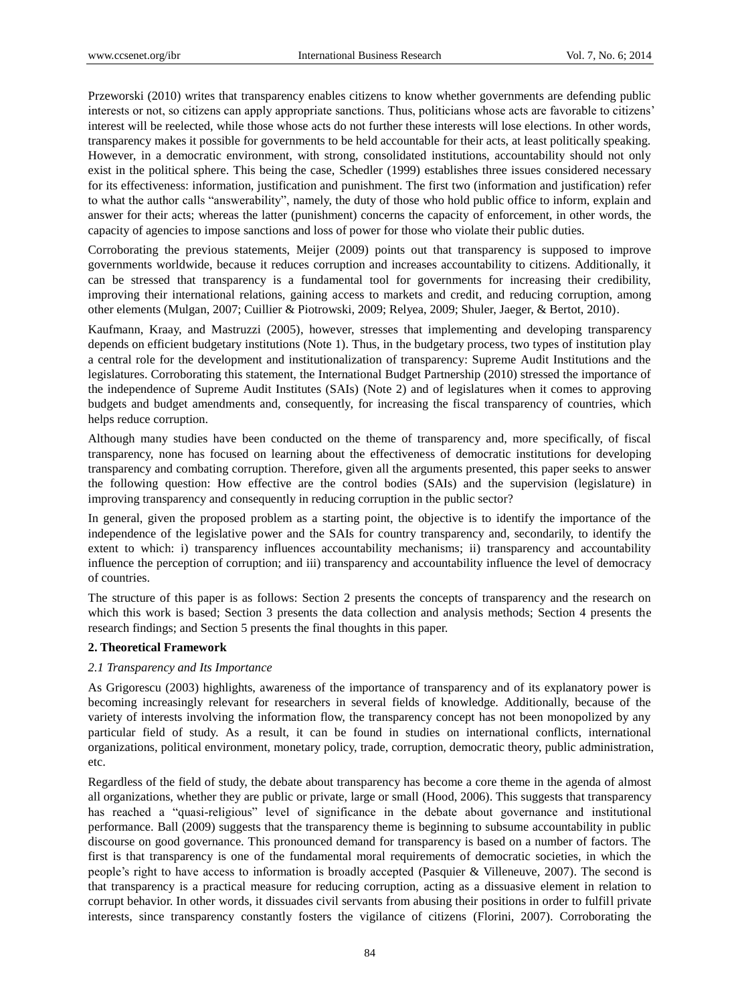Przeworski (2010) writes that transparency enables citizens to know whether governments are defending public interests or not, so citizens can apply appropriate sanctions. Thus, politicians whose acts are favorable to citizens' interest will be reelected, while those whose acts do not further these interests will lose elections. In other words, transparency makes it possible for governments to be held accountable for their acts, at least politically speaking. However, in a democratic environment, with strong, consolidated institutions, accountability should not only exist in the political sphere. This being the case, Schedler (1999) establishes three issues considered necessary for its effectiveness: information, justification and punishment. The first two (information and justification) refer to what the author calls "answerability", namely, the duty of those who hold public office to inform, explain and answer for their acts; whereas the latter (punishment) concerns the capacity of enforcement, in other words, the capacity of agencies to impose sanctions and loss of power for those who violate their public duties.

Corroborating the previous statements, Meijer (2009) points out that transparency is supposed to improve governments worldwide, because it reduces corruption and increases accountability to citizens. Additionally, it can be stressed that transparency is a fundamental tool for governments for increasing their credibility, improving their international relations, gaining access to markets and credit, and reducing corruption, among other elements (Mulgan, 2007; Cuillier & Piotrowski, 2009; Relyea, 2009; Shuler, Jaeger, & Bertot, 2010).

Kaufmann, Kraay, and Mastruzzi (2005), however, stresses that implementing and developing transparency depends on efficient budgetary institutions (Note 1). Thus, in the budgetary process, two types of institution play a central role for the development and institutionalization of transparency: Supreme Audit Institutions and the legislatures. Corroborating this statement, the International Budget Partnership (2010) stressed the importance of the independence of Supreme Audit Institutes (SAIs) (Note 2) and of legislatures when it comes to approving budgets and budget amendments and, consequently, for increasing the fiscal transparency of countries, which helps reduce corruption.

Although many studies have been conducted on the theme of transparency and, more specifically, of fiscal transparency, none has focused on learning about the effectiveness of democratic institutions for developing transparency and combating corruption. Therefore, given all the arguments presented, this paper seeks to answer the following question: How effective are the control bodies (SAIs) and the supervision (legislature) in improving transparency and consequently in reducing corruption in the public sector?

In general, given the proposed problem as a starting point, the objective is to identify the importance of the independence of the legislative power and the SAIs for country transparency and, secondarily, to identify the extent to which: i) transparency influences accountability mechanisms; ii) transparency and accountability influence the perception of corruption; and iii) transparency and accountability influence the level of democracy of countries.

The structure of this paper is as follows: Section 2 presents the concepts of transparency and the research on which this work is based; Section 3 presents the data collection and analysis methods; Section 4 presents the research findings; and Section 5 presents the final thoughts in this paper.

# **2. Theoretical Framework**

# *2.1 Transparency and Its Importance*

As Grigorescu (2003) highlights, awareness of the importance of transparency and of its explanatory power is becoming increasingly relevant for researchers in several fields of knowledge. Additionally, because of the variety of interests involving the information flow, the transparency concept has not been monopolized by any particular field of study. As a result, it can be found in studies on international conflicts, international organizations, political environment, monetary policy, trade, corruption, democratic theory, public administration, etc.

Regardless of the field of study, the debate about transparency has become a core theme in the agenda of almost all organizations, whether they are public or private, large or small (Hood, 2006). This suggests that transparency has reached a "quasi-religious" level of significance in the debate about governance and institutional performance. Ball (2009) suggests that the transparency theme is beginning to subsume accountability in public discourse on good governance. This pronounced demand for transparency is based on a number of factors. The first is that transparency is one of the fundamental moral requirements of democratic societies, in which the people's right to have access to information is broadly accepted (Pasquier & Villeneuve, 2007). The second is that transparency is a practical measure for reducing corruption, acting as a dissuasive element in relation to corrupt behavior. In other words, it dissuades civil servants from abusing their positions in order to fulfill private interests, since transparency constantly fosters the vigilance of citizens (Florini, 2007). Corroborating the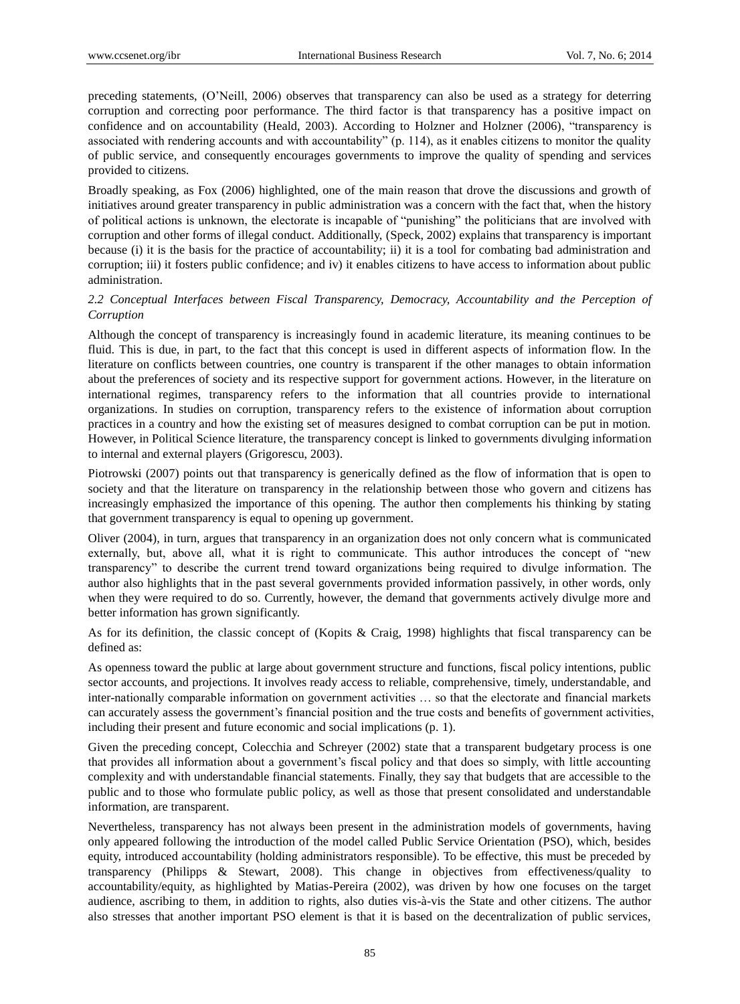preceding statements, (O'Neill, 2006) observes that transparency can also be used as a strategy for deterring corruption and correcting poor performance. The third factor is that transparency has a positive impact on confidence and on accountability (Heald, 2003). According to Holzner and Holzner (2006), "transparency is associated with rendering accounts and with accountability" (p.  $114$ ), as it enables citizens to monitor the quality of public service, and consequently encourages governments to improve the quality of spending and services provided to citizens.

Broadly speaking, as Fox (2006) highlighted, one of the main reason that drove the discussions and growth of initiatives around greater transparency in public administration was a concern with the fact that, when the history of political actions is unknown, the electorate is incapable of "punishing" the politicians that are involved with corruption and other forms of illegal conduct. Additionally, (Speck, 2002) explains that transparency is important because (i) it is the basis for the practice of accountability; ii) it is a tool for combating bad administration and corruption; iii) it fosters public confidence; and iv) it enables citizens to have access to information about public administration.

# *2.2 Conceptual Interfaces between Fiscal Transparency, Democracy, Accountability and the Perception of Corruption*

Although the concept of transparency is increasingly found in academic literature, its meaning continues to be fluid. This is due, in part, to the fact that this concept is used in different aspects of information flow. In the literature on conflicts between countries, one country is transparent if the other manages to obtain information about the preferences of society and its respective support for government actions. However, in the literature on international regimes, transparency refers to the information that all countries provide to international organizations. In studies on corruption, transparency refers to the existence of information about corruption practices in a country and how the existing set of measures designed to combat corruption can be put in motion. However, in Political Science literature, the transparency concept is linked to governments divulging information to internal and external players (Grigorescu, 2003).

Piotrowski (2007) points out that transparency is generically defined as the flow of information that is open to society and that the literature on transparency in the relationship between those who govern and citizens has increasingly emphasized the importance of this opening. The author then complements his thinking by stating that government transparency is equal to opening up government.

Oliver (2004), in turn, argues that transparency in an organization does not only concern what is communicated externally, but, above all, what it is right to communicate. This author introduces the concept of "new transparency‖ to describe the current trend toward organizations being required to divulge information. The author also highlights that in the past several governments provided information passively, in other words, only when they were required to do so. Currently, however, the demand that governments actively divulge more and better information has grown significantly.

As for its definition, the classic concept of (Kopits & Craig, 1998) highlights that fiscal transparency can be defined as:

As openness toward the public at large about government structure and functions, fiscal policy intentions, public sector accounts, and projections. It involves ready access to reliable, comprehensive, timely, understandable, and inter-nationally comparable information on government activities … so that the electorate and financial markets can accurately assess the government's financial position and the true costs and benefits of government activities, including their present and future economic and social implications (p. 1).

Given the preceding concept, Colecchia and Schreyer (2002) state that a transparent budgetary process is one that provides all information about a government's fiscal policy and that does so simply, with little accounting complexity and with understandable financial statements. Finally, they say that budgets that are accessible to the public and to those who formulate public policy, as well as those that present consolidated and understandable information, are transparent.

Nevertheless, transparency has not always been present in the administration models of governments, having only appeared following the introduction of the model called Public Service Orientation (PSO), which, besides equity, introduced accountability (holding administrators responsible). To be effective, this must be preceded by transparency (Philipps & Stewart, 2008). This change in objectives from effectiveness/quality to accountability/equity, as highlighted by Matias-Pereira (2002), was driven by how one focuses on the target audience, ascribing to them, in addition to rights, also duties vis-à-vis the State and other citizens. The author also stresses that another important PSO element is that it is based on the decentralization of public services,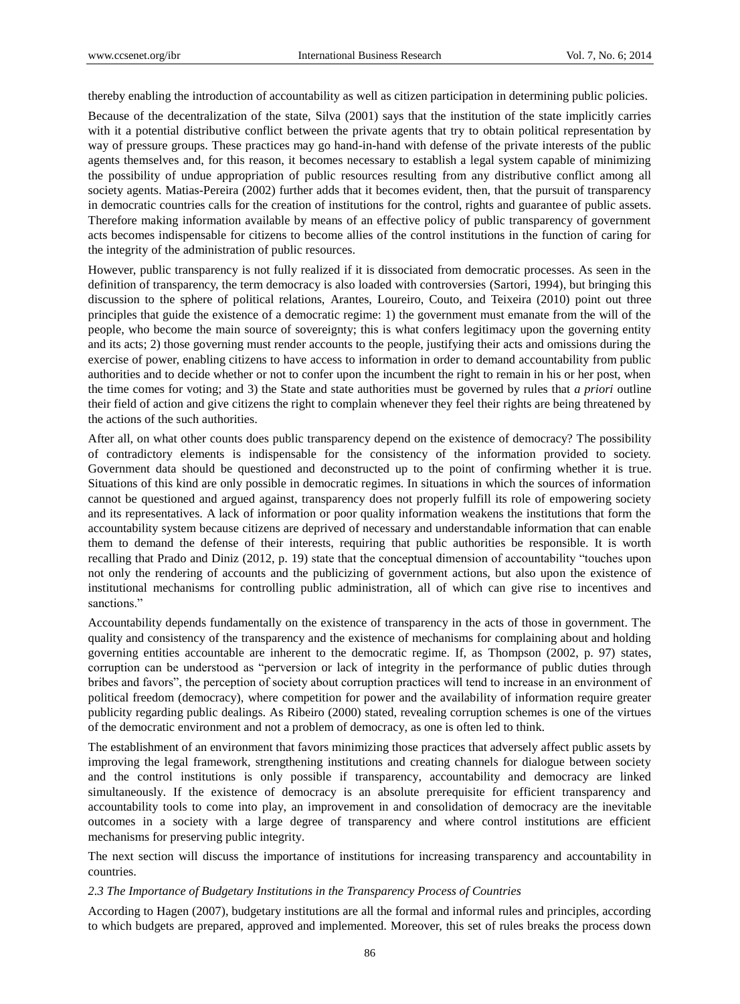thereby enabling the introduction of accountability as well as citizen participation in determining public policies.

Because of the decentralization of the state, Silva (2001) says that the institution of the state implicitly carries with it a potential distributive conflict between the private agents that try to obtain political representation by way of pressure groups. These practices may go hand-in-hand with defense of the private interests of the public agents themselves and, for this reason, it becomes necessary to establish a legal system capable of minimizing the possibility of undue appropriation of public resources resulting from any distributive conflict among all society agents. Matias-Pereira (2002) further adds that it becomes evident, then, that the pursuit of transparency in democratic countries calls for the creation of institutions for the control, rights and guarantee of public assets. Therefore making information available by means of an effective policy of public transparency of government acts becomes indispensable for citizens to become allies of the control institutions in the function of caring for the integrity of the administration of public resources.

However, public transparency is not fully realized if it is dissociated from democratic processes. As seen in the definition of transparency, the term democracy is also loaded with controversies (Sartori, 1994), but bringing this discussion to the sphere of political relations, Arantes, Loureiro, Couto, and Teixeira (2010) point out three principles that guide the existence of a democratic regime: 1) the government must emanate from the will of the people, who become the main source of sovereignty; this is what confers legitimacy upon the governing entity and its acts; 2) those governing must render accounts to the people, justifying their acts and omissions during the exercise of power, enabling citizens to have access to information in order to demand accountability from public authorities and to decide whether or not to confer upon the incumbent the right to remain in his or her post, when the time comes for voting; and 3) the State and state authorities must be governed by rules that *a priori* outline their field of action and give citizens the right to complain whenever they feel their rights are being threatened by the actions of the such authorities.

After all, on what other counts does public transparency depend on the existence of democracy? The possibility of contradictory elements is indispensable for the consistency of the information provided to society. Government data should be questioned and deconstructed up to the point of confirming whether it is true. Situations of this kind are only possible in democratic regimes. In situations in which the sources of information cannot be questioned and argued against, transparency does not properly fulfill its role of empowering society and its representatives. A lack of information or poor quality information weakens the institutions that form the accountability system because citizens are deprived of necessary and understandable information that can enable them to demand the defense of their interests, requiring that public authorities be responsible. It is worth recalling that Prado and Diniz (2012, p. 19) state that the conceptual dimension of accountability "touches upon not only the rendering of accounts and the publicizing of government actions, but also upon the existence of institutional mechanisms for controlling public administration, all of which can give rise to incentives and sanctions."

Accountability depends fundamentally on the existence of transparency in the acts of those in government. The quality and consistency of the transparency and the existence of mechanisms for complaining about and holding governing entities accountable are inherent to the democratic regime. If, as Thompson (2002, p. 97) states, corruption can be understood as "perversion or lack of integrity in the performance of public duties through bribes and favors", the perception of society about corruption practices will tend to increase in an environment of political freedom (democracy), where competition for power and the availability of information require greater publicity regarding public dealings. As Ribeiro (2000) stated, revealing corruption schemes is one of the virtues of the democratic environment and not a problem of democracy, as one is often led to think.

The establishment of an environment that favors minimizing those practices that adversely affect public assets by improving the legal framework, strengthening institutions and creating channels for dialogue between society and the control institutions is only possible if transparency, accountability and democracy are linked simultaneously. If the existence of democracy is an absolute prerequisite for efficient transparency and accountability tools to come into play, an improvement in and consolidation of democracy are the inevitable outcomes in a society with a large degree of transparency and where control institutions are efficient mechanisms for preserving public integrity.

The next section will discuss the importance of institutions for increasing transparency and accountability in countries.

#### *2.3 The Importance of Budgetary Institutions in the Transparency Process of Countries*

According to Hagen (2007), budgetary institutions are all the formal and informal rules and principles, according to which budgets are prepared, approved and implemented. Moreover, this set of rules breaks the process down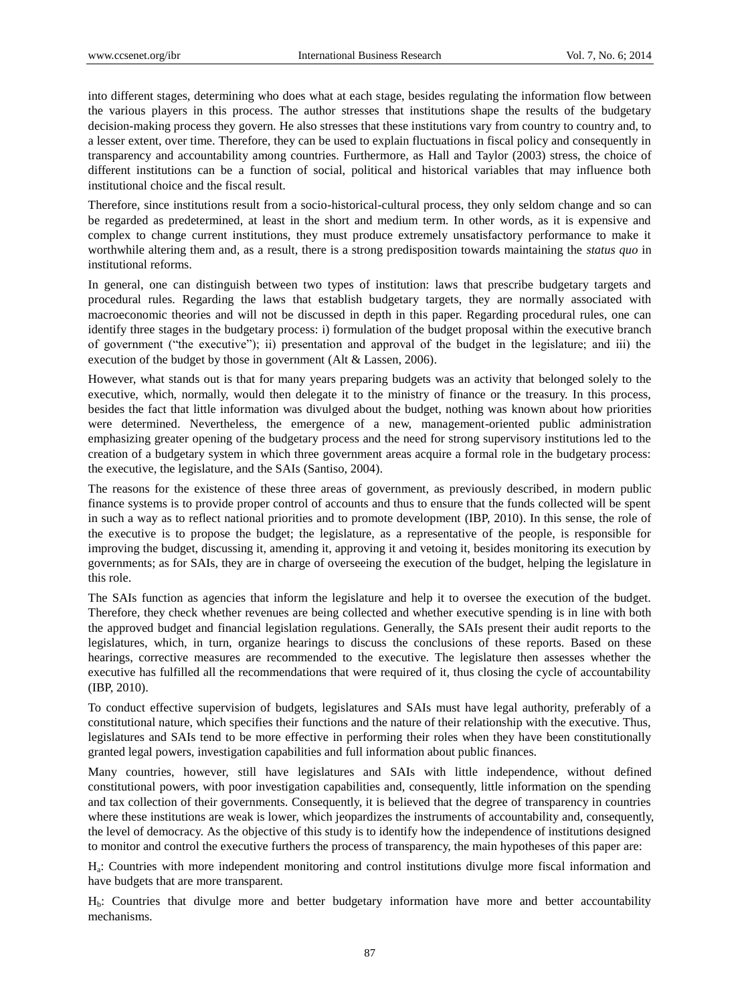into different stages, determining who does what at each stage, besides regulating the information flow between the various players in this process. The author stresses that institutions shape the results of the budgetary decision-making process they govern. He also stresses that these institutions vary from country to country and, to a lesser extent, over time. Therefore, they can be used to explain fluctuations in fiscal policy and consequently in transparency and accountability among countries. Furthermore, as Hall and Taylor (2003) stress, the choice of different institutions can be a function of social, political and historical variables that may influence both institutional choice and the fiscal result.

Therefore, since institutions result from a socio-historical-cultural process, they only seldom change and so can be regarded as predetermined, at least in the short and medium term. In other words, as it is expensive and complex to change current institutions, they must produce extremely unsatisfactory performance to make it worthwhile altering them and, as a result, there is a strong predisposition towards maintaining the *status quo* in institutional reforms.

In general, one can distinguish between two types of institution: laws that prescribe budgetary targets and procedural rules. Regarding the laws that establish budgetary targets, they are normally associated with macroeconomic theories and will not be discussed in depth in this paper. Regarding procedural rules, one can identify three stages in the budgetary process: i) formulation of the budget proposal within the executive branch of government ("the executive"); ii) presentation and approval of the budget in the legislature; and iii) the execution of the budget by those in government (Alt & Lassen, 2006).

However, what stands out is that for many years preparing budgets was an activity that belonged solely to the executive, which, normally, would then delegate it to the ministry of finance or the treasury. In this process, besides the fact that little information was divulged about the budget, nothing was known about how priorities were determined. Nevertheless, the emergence of a new, management-oriented public administration emphasizing greater opening of the budgetary process and the need for strong supervisory institutions led to the creation of a budgetary system in which three government areas acquire a formal role in the budgetary process: the executive, the legislature, and the SAIs (Santiso, 2004).

The reasons for the existence of these three areas of government, as previously described, in modern public finance systems is to provide proper control of accounts and thus to ensure that the funds collected will be spent in such a way as to reflect national priorities and to promote development (IBP, 2010). In this sense, the role of the executive is to propose the budget; the legislature, as a representative of the people, is responsible for improving the budget, discussing it, amending it, approving it and vetoing it, besides monitoring its execution by governments; as for SAIs, they are in charge of overseeing the execution of the budget, helping the legislature in this role.

The SAIs function as agencies that inform the legislature and help it to oversee the execution of the budget. Therefore, they check whether revenues are being collected and whether executive spending is in line with both the approved budget and financial legislation regulations. Generally, the SAIs present their audit reports to the legislatures, which, in turn, organize hearings to discuss the conclusions of these reports. Based on these hearings, corrective measures are recommended to the executive. The legislature then assesses whether the executive has fulfilled all the recommendations that were required of it, thus closing the cycle of accountability (IBP, 2010).

To conduct effective supervision of budgets, legislatures and SAIs must have legal authority, preferably of a constitutional nature, which specifies their functions and the nature of their relationship with the executive. Thus, legislatures and SAIs tend to be more effective in performing their roles when they have been constitutionally granted legal powers, investigation capabilities and full information about public finances.

Many countries, however, still have legislatures and SAIs with little independence, without defined constitutional powers, with poor investigation capabilities and, consequently, little information on the spending and tax collection of their governments. Consequently, it is believed that the degree of transparency in countries where these institutions are weak is lower, which jeopardizes the instruments of accountability and, consequently, the level of democracy. As the objective of this study is to identify how the independence of institutions designed to monitor and control the executive furthers the process of transparency, the main hypotheses of this paper are:

Ha : Countries with more independent monitoring and control institutions divulge more fiscal information and have budgets that are more transparent.

Hb: Countries that divulge more and better budgetary information have more and better accountability mechanisms.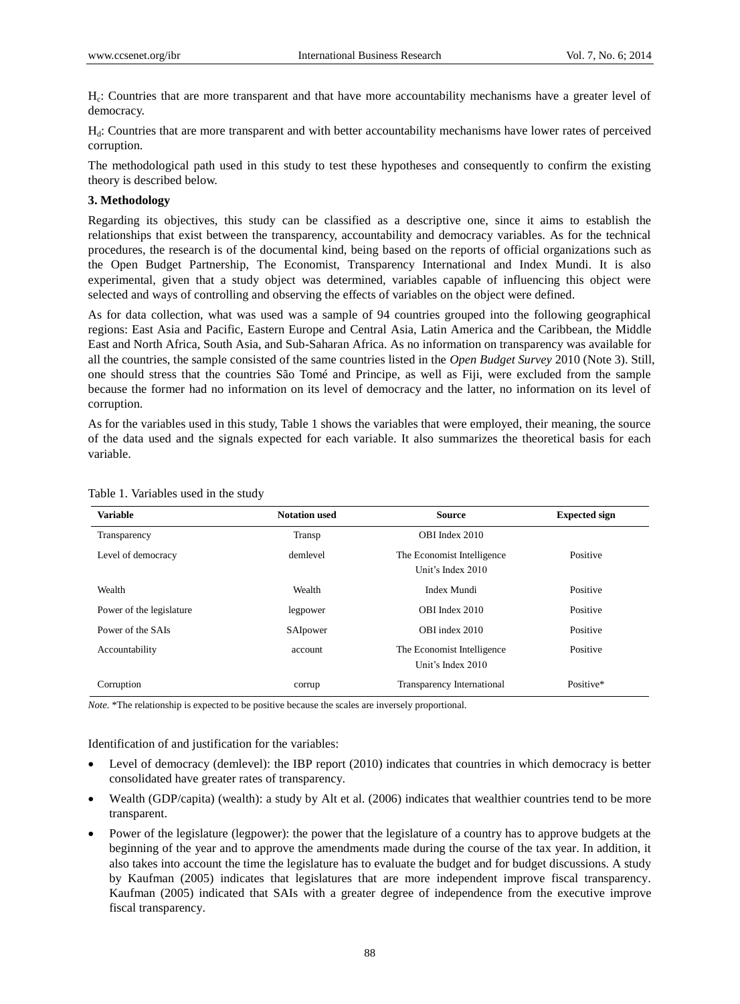H<sub>c</sub>: Countries that are more transparent and that have more accountability mechanisms have a greater level of democracy.

Hd: Countries that are more transparent and with better accountability mechanisms have lower rates of perceived corruption.

The methodological path used in this study to test these hypotheses and consequently to confirm the existing theory is described below.

# **3. Methodology**

Regarding its objectives, this study can be classified as a descriptive one, since it aims to establish the relationships that exist between the transparency, accountability and democracy variables. As for the technical procedures, the research is of the documental kind, being based on the reports of official organizations such as the Open Budget Partnership, The Economist, Transparency International and Index Mundi. It is also experimental, given that a study object was determined, variables capable of influencing this object were selected and ways of controlling and observing the effects of variables on the object were defined.

As for data collection, what was used was a sample of 94 countries grouped into the following geographical regions: East Asia and Pacific, Eastern Europe and Central Asia, Latin America and the Caribbean, the Middle East and North Africa, South Asia, and Sub-Saharan Africa. As no information on transparency was available for all the countries, the sample consisted of the same countries listed in the *Open Budget Survey* 2010 (Note 3). Still, one should stress that the countries São Tomé and Principe, as well as Fiji, were excluded from the sample because the former had no information on its level of democracy and the latter, no information on its level of corruption.

As for the variables used in this study, Table 1 shows the variables that were employed, their meaning, the source of the data used and the signals expected for each variable. It also summarizes the theoretical basis for each variable.

| <b>Variable</b>          | <b>Notation used</b> | <b>Source</b>                                   | <b>Expected sign</b> |
|--------------------------|----------------------|-------------------------------------------------|----------------------|
| Transparency             | Transp               | OBI Index 2010                                  |                      |
| Level of democracy       | demlevel             | The Economist Intelligence<br>Unit's Index 2010 | Positive             |
| Wealth                   | Wealth               | Index Mundi                                     | Positive             |
| Power of the legislature | legpower             | OBI Index 2010                                  | Positive             |
| Power of the SAIs        | SAIpower             | OBI index 2010                                  | Positive             |
| Accountability           | account              | The Economist Intelligence<br>Unit's Index 2010 | Positive             |
| Corruption               | corrup               | Transparency International                      | Positive*            |

## Table 1. Variables used in the study

*Note.* \*The relationship is expected to be positive because the scales are inversely proportional.

# Identification of and justification for the variables:

- Level of democracy (demlevel): the IBP report (2010) indicates that countries in which democracy is better consolidated have greater rates of transparency.
- Wealth (GDP/capita) (wealth): a study by Alt et al. (2006) indicates that wealthier countries tend to be more transparent.
- Power of the legislature (legpower): the power that the legislature of a country has to approve budgets at the beginning of the year and to approve the amendments made during the course of the tax year. In addition, it also takes into account the time the legislature has to evaluate the budget and for budget discussions. A study by Kaufman (2005) indicates that legislatures that are more independent improve fiscal transparency. Kaufman (2005) indicated that SAIs with a greater degree of independence from the executive improve fiscal transparency.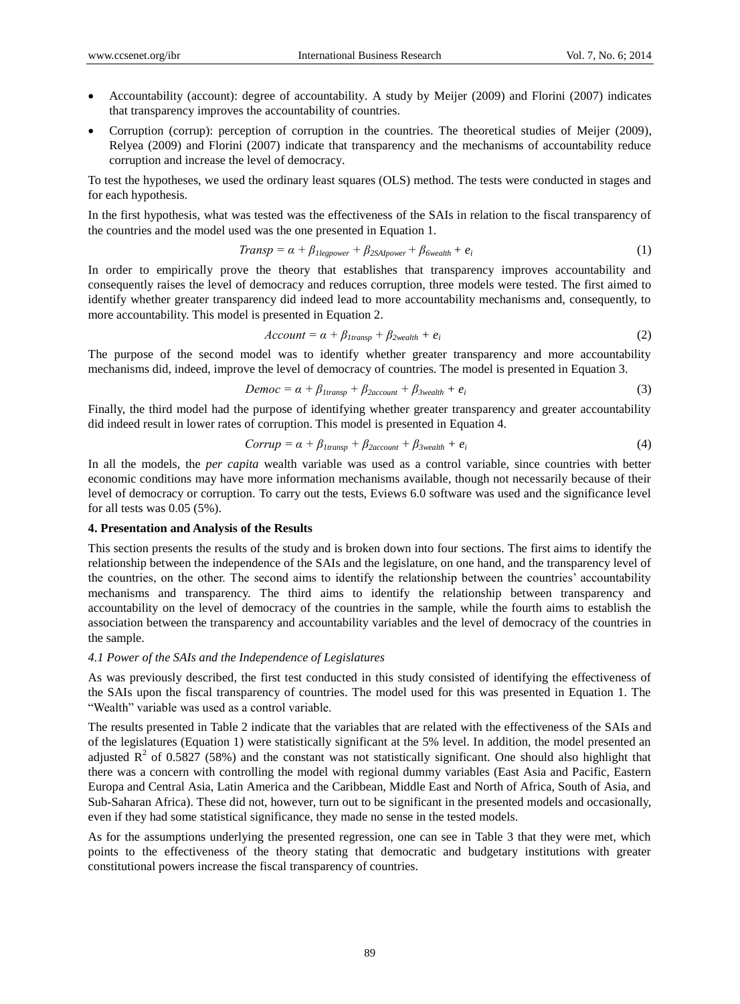- Accountability (account): degree of accountability. A study by Meijer (2009) and Florini (2007) indicates that transparency improves the accountability of countries.
- Corruption (corrup): perception of corruption in the countries. The theoretical studies of Meijer (2009), Relyea (2009) and Florini (2007) indicate that transparency and the mechanisms of accountability reduce corruption and increase the level of democracy.

To test the hypotheses, we used the ordinary least squares (OLS) method. The tests were conducted in stages and for each hypothesis.

In the first hypothesis, what was tested was the effectiveness of the SAIs in relation to the fiscal transparency of the countries and the model used was the one presented in Equation 1.

$$
Transp = \alpha + \beta_{1legpower} + \beta_{2SApower} + \beta_{6wealth} + e_i
$$
\n(1)

In order to empirically prove the theory that establishes that transparency improves accountability and consequently raises the level of democracy and reduces corruption, three models were tested. The first aimed to identify whether greater transparency did indeed lead to more accountability mechanisms and, consequently, to more accountability. This model is presented in Equation 2.

$$
Account = \alpha + \beta_{Itransp} + \beta_{2wealth} + e_i \tag{2}
$$

The purpose of the second model was to identify whether greater transparency and more accountability mechanisms did, indeed, improve the level of democracy of countries. The model is presented in Equation 3.

$$
Democ = \alpha + \beta_{Itransp} + \beta_{2account} + \beta_{3 wealth} + e_i
$$
\n(3)

Finally, the third model had the purpose of identifying whether greater transparency and greater accountability did indeed result in lower rates of corruption. This model is presented in Equation 4.

$$
Corrup = \alpha + \beta_{Itransp} + \beta_{2account} + \beta_{3wealth} + e_i
$$
\n(4)

In all the models, the *per capita* wealth variable was used as a control variable, since countries with better economic conditions may have more information mechanisms available, though not necessarily because of their level of democracy or corruption. To carry out the tests, Eviews 6.0 software was used and the significance level for all tests was 0.05 (5%).

#### **4. Presentation and Analysis of the Results**

This section presents the results of the study and is broken down into four sections. The first aims to identify the relationship between the independence of the SAIs and the legislature, on one hand, and the transparency level of the countries, on the other. The second aims to identify the relationship between the countries' accountability mechanisms and transparency. The third aims to identify the relationship between transparency and accountability on the level of democracy of the countries in the sample, while the fourth aims to establish the association between the transparency and accountability variables and the level of democracy of the countries in the sample.

## *4.1 Power of the SAIs and the Independence of Legislatures*

As was previously described, the first test conducted in this study consisted of identifying the effectiveness of the SAIs upon the fiscal transparency of countries. The model used for this was presented in Equation 1. The "Wealth" variable was used as a control variable.

The results presented in Table 2 indicate that the variables that are related with the effectiveness of the SAIs and of the legislatures (Equation 1) were statistically significant at the 5% level. In addition, the model presented an adjusted  $\mathbb{R}^2$  of 0.5827 (58%) and the constant was not statistically significant. One should also highlight that there was a concern with controlling the model with regional dummy variables (East Asia and Pacific, Eastern Europa and Central Asia, Latin America and the Caribbean, Middle East and North of Africa, South of Asia, and Sub-Saharan Africa). These did not, however, turn out to be significant in the presented models and occasionally, even if they had some statistical significance, they made no sense in the tested models.

As for the assumptions underlying the presented regression, one can see in Table 3 that they were met, which points to the effectiveness of the theory stating that democratic and budgetary institutions with greater constitutional powers increase the fiscal transparency of countries.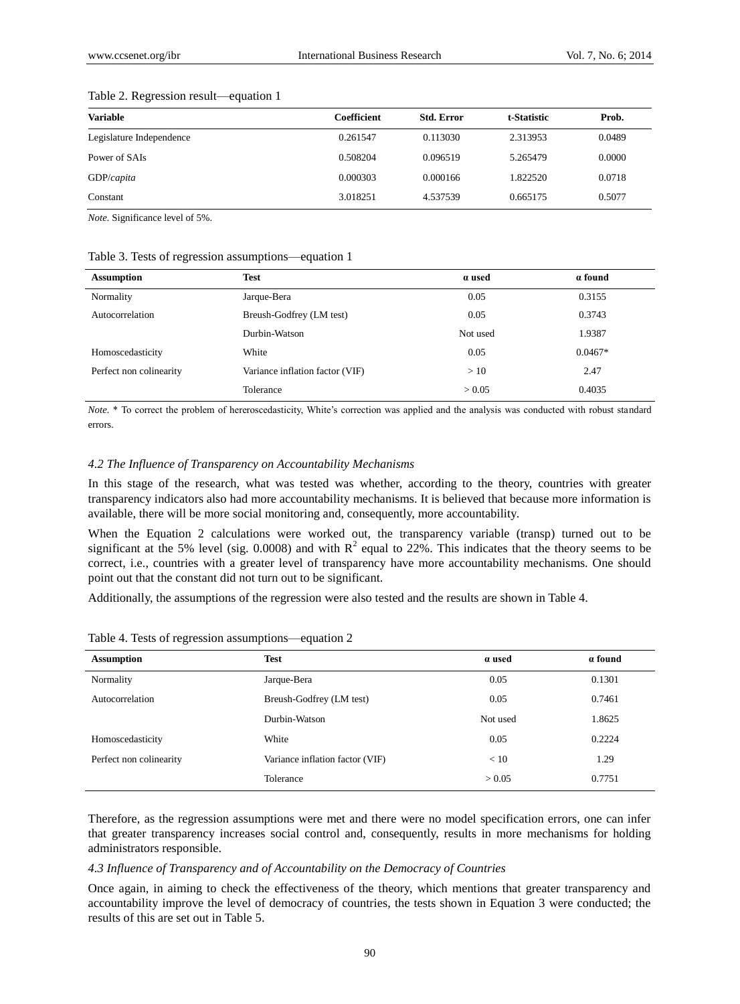| <b>Variable</b>          | Coefficient | <b>Std. Error</b> | t-Statistic | Prob.  |
|--------------------------|-------------|-------------------|-------------|--------|
| Legislature Independence | 0.261547    | 0.113030          | 2.313953    | 0.0489 |
| Power of SAIs            | 0.508204    | 0.096519          | 5.265479    | 0.0000 |
| GDP/capita               | 0.000303    | 0.000166          | 1.822520    | 0.0718 |
| Constant                 | 3.018251    | 4.537539          | 0.665175    | 0.5077 |

#### Table 2. Regression result—equation 1

*Note.* Significance level of 5%.

#### Table 3. Tests of regression assumptions—equation 1

| <b>Assumption</b>       | Test                            | a used   | a found   |
|-------------------------|---------------------------------|----------|-----------|
| Normality               | Jarque-Bera                     | 0.05     | 0.3155    |
| Autocorrelation         | Breush-Godfrey (LM test)        | 0.05     | 0.3743    |
|                         | Durbin-Watson                   | Not used | 1.9387    |
| Homoscedasticity        | White                           | 0.05     | $0.0467*$ |
| Perfect non colinearity | Variance inflation factor (VIF) | >10      | 2.47      |
|                         | Tolerance                       | > 0.05   | 0.4035    |

*Note.* \* To correct the problem of hereroscedasticity, White's correction was applied and the analysis was conducted with robust standard errors.

#### *4.2 The Influence of Transparency on Accountability Mechanisms*

In this stage of the research, what was tested was whether, according to the theory, countries with greater transparency indicators also had more accountability mechanisms. It is believed that because more information is available, there will be more social monitoring and, consequently, more accountability.

When the Equation 2 calculations were worked out, the transparency variable (transp) turned out to be significant at the 5% level (sig. 0.0008) and with  $R^2$  equal to 22%. This indicates that the theory seems to be correct, i.e., countries with a greater level of transparency have more accountability mechanisms. One should point out that the constant did not turn out to be significant.

Additionally, the assumptions of the regression were also tested and the results are shown in Table 4.

| <b>Assumption</b>       | <b>Test</b>                     | a used   | a found |
|-------------------------|---------------------------------|----------|---------|
| Normality               | Jarque-Bera                     | 0.05     | 0.1301  |
| Autocorrelation         | Breush-Godfrey (LM test)        | 0.05     | 0.7461  |
|                         | Durbin-Watson                   | Not used | 1.8625  |
| Homoscedasticity        | White                           | 0.05     | 0.2224  |
| Perfect non colinearity | Variance inflation factor (VIF) | < 10     | 1.29    |
|                         | Tolerance                       | > 0.05   | 0.7751  |

Table 4. Tests of regression assumptions—equation 2

Therefore, as the regression assumptions were met and there were no model specification errors, one can infer that greater transparency increases social control and, consequently, results in more mechanisms for holding administrators responsible.

#### *4.3 Influence of Transparency and of Accountability on the Democracy of Countries*

Once again, in aiming to check the effectiveness of the theory, which mentions that greater transparency and accountability improve the level of democracy of countries, the tests shown in Equation 3 were conducted; the results of this are set out in Table 5.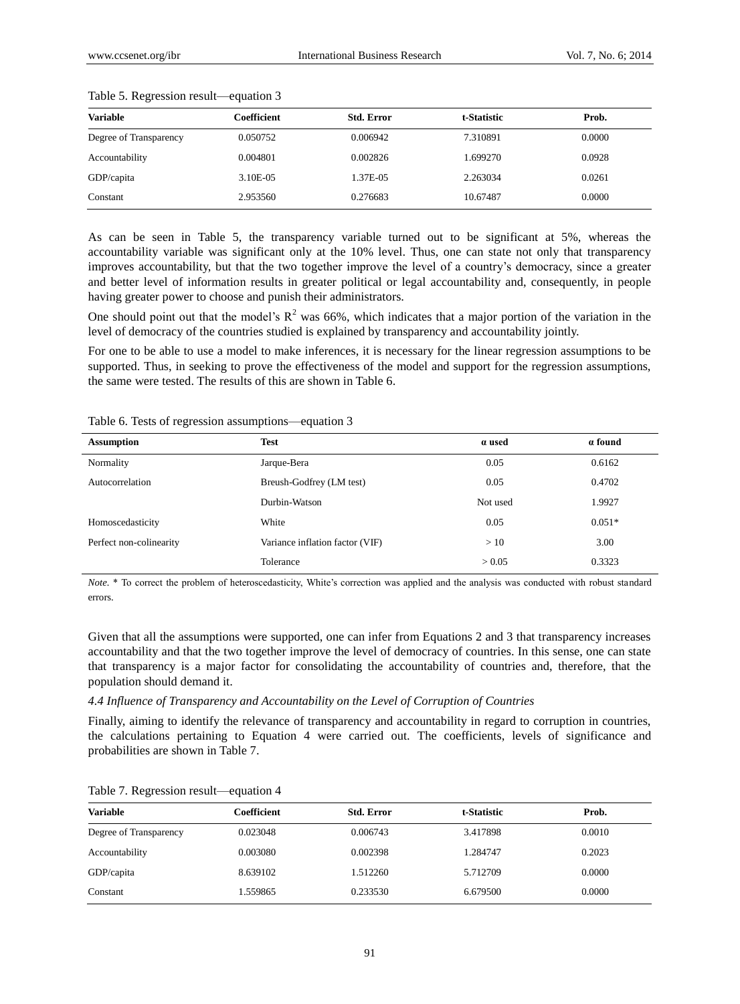| <b>Variable</b>        | Coefficient | <b>Std. Error</b> | t-Statistic | Prob.  |
|------------------------|-------------|-------------------|-------------|--------|
| Degree of Transparency | 0.050752    | 0.006942          | 7.310891    | 0.0000 |
| Accountability         | 0.004801    | 0.002826          | 1.699270    | 0.0928 |
| GDP/capita             | 3.10E-05    | 1.37E-05          | 2.263034    | 0.0261 |
| Constant               | 2.953560    | 0.276683          | 10.67487    | 0.0000 |

#### Table 5. Regression result—equation 3

As can be seen in Table 5, the transparency variable turned out to be significant at 5%, whereas the accountability variable was significant only at the 10% level. Thus, one can state not only that transparency improves accountability, but that the two together improve the level of a country's democracy, since a greater and better level of information results in greater political or legal accountability and, consequently, in people having greater power to choose and punish their administrators.

One should point out that the model's  $R^2$  was 66%, which indicates that a major portion of the variation in the level of democracy of the countries studied is explained by transparency and accountability jointly.

For one to be able to use a model to make inferences, it is necessary for the linear regression assumptions to be supported. Thus, in seeking to prove the effectiveness of the model and support for the regression assumptions, the same were tested. The results of this are shown in Table 6.

|  |  | Table 6. Tests of regression assumptions—equation 3 |  |
|--|--|-----------------------------------------------------|--|
|  |  |                                                     |  |

| <b>Assumption</b>       | <b>Test</b>                     | a used   | a found  |
|-------------------------|---------------------------------|----------|----------|
| Normality               | Jarque-Bera                     | 0.05     | 0.6162   |
| Autocorrelation         | Breush-Godfrey (LM test)        | 0.05     | 0.4702   |
|                         | Durbin-Watson                   | Not used | 1.9927   |
| Homoscedasticity        | White                           | 0.05     | $0.051*$ |
| Perfect non-colinearity | Variance inflation factor (VIF) | >10      | 3.00     |
|                         | Tolerance                       | > 0.05   | 0.3323   |

*Note.* \* To correct the problem of heteroscedasticity, White's correction was applied and the analysis was conducted with robust standard errors.

Given that all the assumptions were supported, one can infer from Equations 2 and 3 that transparency increases accountability and that the two together improve the level of democracy of countries. In this sense, one can state that transparency is a major factor for consolidating the accountability of countries and, therefore, that the population should demand it.

#### *4.4 Influence of Transparency and Accountability on the Level of Corruption of Countries*

Finally, aiming to identify the relevance of transparency and accountability in regard to corruption in countries, the calculations pertaining to Equation 4 were carried out. The coefficients, levels of significance and probabilities are shown in Table 7.

| Variable               | Coefficient | <b>Std. Error</b> | t-Statistic | Prob.  |
|------------------------|-------------|-------------------|-------------|--------|
|                        |             |                   |             |        |
| Degree of Transparency | 0.023048    | 0.006743          | 3.417898    | 0.0010 |
| Accountability         | 0.003080    | 0.002398          | 1.284747    | 0.2023 |
| GDP/capita             | 8.639102    | 1.512260          | 5.712709    | 0.0000 |
| Constant               | 1.559865    | 0.233530          | 6.679500    | 0.0000 |

Table 7. Regression result—equation 4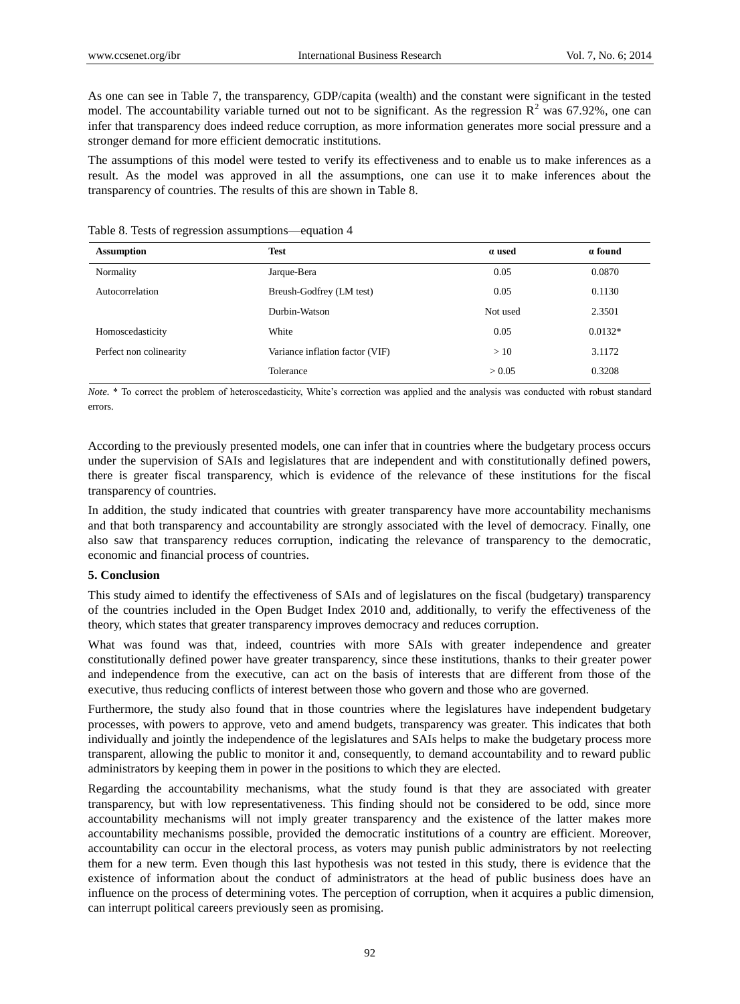As one can see in Table 7, the transparency, GDP/capita (wealth) and the constant were significant in the tested model. The accountability variable turned out not to be significant. As the regression  $R^2$  was 67.92%, one can infer that transparency does indeed reduce corruption, as more information generates more social pressure and a stronger demand for more efficient democratic institutions.

The assumptions of this model were tested to verify its effectiveness and to enable us to make inferences as a result. As the model was approved in all the assumptions, one can use it to make inferences about the transparency of countries. The results of this are shown in Table 8.

| <b>Assumption</b>       | <b>Test</b>                     | a used   | a found   |
|-------------------------|---------------------------------|----------|-----------|
| Normality               | Jarque-Bera                     | 0.05     | 0.0870    |
| Autocorrelation         | Breush-Godfrey (LM test)        | 0.05     | 0.1130    |
|                         | Durbin-Watson                   | Not used | 2.3501    |
| Homoscedasticity        | White                           | 0.05     | $0.0132*$ |
| Perfect non colinearity | Variance inflation factor (VIF) | >10      | 3.1172    |
|                         | Tolerance                       | > 0.05   | 0.3208    |

Table 8. Tests of regression assumptions—equation 4

*Note.* \* To correct the problem of heteroscedasticity, White's correction was applied and the analysis was conducted with robust standard errors.

According to the previously presented models, one can infer that in countries where the budgetary process occurs under the supervision of SAIs and legislatures that are independent and with constitutionally defined powers, there is greater fiscal transparency, which is evidence of the relevance of these institutions for the fiscal transparency of countries.

In addition, the study indicated that countries with greater transparency have more accountability mechanisms and that both transparency and accountability are strongly associated with the level of democracy. Finally, one also saw that transparency reduces corruption, indicating the relevance of transparency to the democratic, economic and financial process of countries.

#### **5. Conclusion**

This study aimed to identify the effectiveness of SAIs and of legislatures on the fiscal (budgetary) transparency of the countries included in the Open Budget Index 2010 and, additionally, to verify the effectiveness of the theory, which states that greater transparency improves democracy and reduces corruption.

What was found was that, indeed, countries with more SAIs with greater independence and greater constitutionally defined power have greater transparency, since these institutions, thanks to their greater power and independence from the executive, can act on the basis of interests that are different from those of the executive, thus reducing conflicts of interest between those who govern and those who are governed.

Furthermore, the study also found that in those countries where the legislatures have independent budgetary processes, with powers to approve, veto and amend budgets, transparency was greater. This indicates that both individually and jointly the independence of the legislatures and SAIs helps to make the budgetary process more transparent, allowing the public to monitor it and, consequently, to demand accountability and to reward public administrators by keeping them in power in the positions to which they are elected.

Regarding the accountability mechanisms, what the study found is that they are associated with greater transparency, but with low representativeness. This finding should not be considered to be odd, since more accountability mechanisms will not imply greater transparency and the existence of the latter makes more accountability mechanisms possible, provided the democratic institutions of a country are efficient. Moreover, accountability can occur in the electoral process, as voters may punish public administrators by not reelecting them for a new term. Even though this last hypothesis was not tested in this study, there is evidence that the existence of information about the conduct of administrators at the head of public business does have an influence on the process of determining votes. The perception of corruption, when it acquires a public dimension, can interrupt political careers previously seen as promising.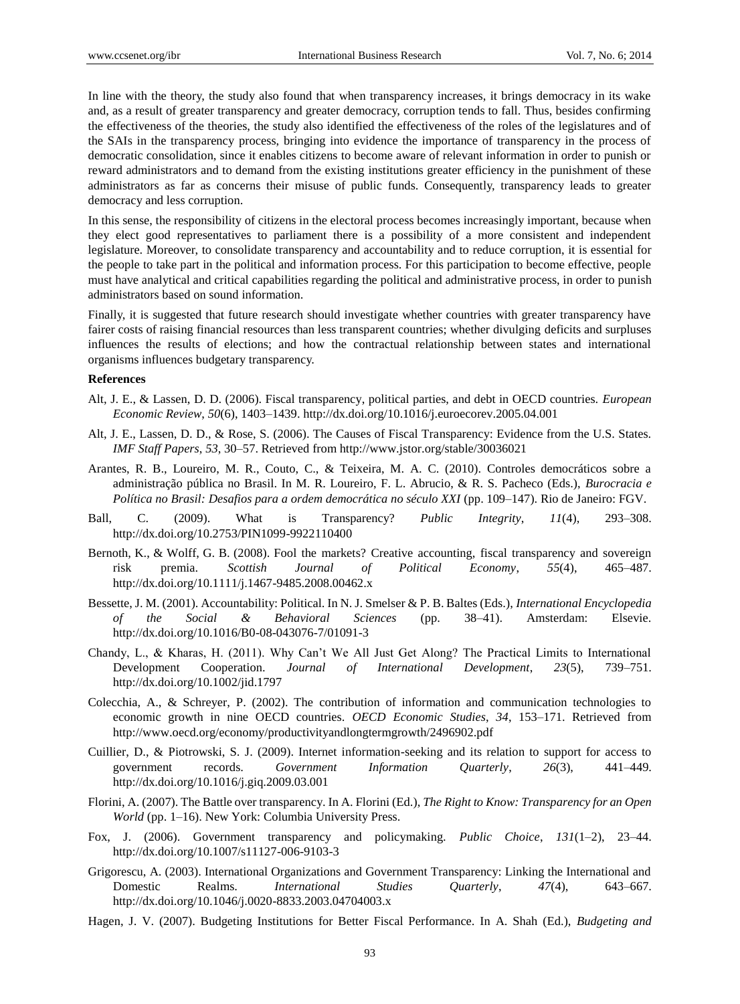In line with the theory, the study also found that when transparency increases, it brings democracy in its wake and, as a result of greater transparency and greater democracy, corruption tends to fall. Thus, besides confirming the effectiveness of the theories, the study also identified the effectiveness of the roles of the legislatures and of the SAIs in the transparency process, bringing into evidence the importance of transparency in the process of democratic consolidation, since it enables citizens to become aware of relevant information in order to punish or reward administrators and to demand from the existing institutions greater efficiency in the punishment of these administrators as far as concerns their misuse of public funds. Consequently, transparency leads to greater democracy and less corruption.

In this sense, the responsibility of citizens in the electoral process becomes increasingly important, because when they elect good representatives to parliament there is a possibility of a more consistent and independent legislature. Moreover, to consolidate transparency and accountability and to reduce corruption, it is essential for the people to take part in the political and information process. For this participation to become effective, people must have analytical and critical capabilities regarding the political and administrative process, in order to punish administrators based on sound information.

Finally, it is suggested that future research should investigate whether countries with greater transparency have fairer costs of raising financial resources than less transparent countries; whether divulging deficits and surpluses influences the results of elections; and how the contractual relationship between states and international organisms influences budgetary transparency.

#### **References**

- Alt, J. E., & Lassen, D. D. (2006). Fiscal transparency, political parties, and debt in OECD countries. *European Economic Review*, *50*(6), 1403–1439. http://dx.doi.org/10.1016/j.euroecorev.2005.04.001
- Alt, J. E., Lassen, D. D., & Rose, S. (2006). The Causes of Fiscal Transparency: Evidence from the U.S. States. *IMF Staff Papers*, *53*, 30–57. Retrieved from http://www.jstor.org/stable/30036021
- Arantes, R. B., Loureiro, M. R., Couto, C., & Teixeira, M. A. C. (2010). Controles democráticos sobre a administração pública no Brasil. In M. R. Loureiro, F. L. Abrucio, & R. S. Pacheco (Eds.), *Burocracia e Política no Brasil: Desafios para a ordem democrática no século XXI* (pp. 109–147). Rio de Janeiro: FGV.
- Ball, C. (2009). What is Transparency? *Public Integrity*, *11*(4), 293–308. http://dx.doi.org/10.2753/PIN1099-9922110400
- Bernoth, K., & Wolff, G. B. (2008). Fool the markets? Creative accounting, fiscal transparency and sovereign risk premia. *Scottish Journal of Political Economy*, *55*(4), 465–487. http://dx.doi.org/10.1111/j.1467-9485.2008.00462.x
- Bessette, J. M. (2001). Accountability: Political. In N. J. Smelser & P. B. Baltes (Eds.), *International Encyclopedia of the Social & Behavioral Sciences* (pp. 38–41). Amsterdam: Elsevie. http://dx.doi.org/10.1016/B0-08-043076-7/01091-3
- Chandy, L., & Kharas, H. (2011). Why Can't We All Just Get Along? The Practical Limits to International Development Cooperation. *Journal of International Development*, *23*(5), 739–751. http://dx.doi.org/10.1002/jid.1797
- Colecchia, A., & Schreyer, P. (2002). The contribution of information and communication technologies to economic growth in nine OECD countries. *OECD Economic Studies*, *34*, 153–171. Retrieved from http://www.oecd.org/economy/productivityandlongtermgrowth/2496902.pdf
- Cuillier, D., & Piotrowski, S. J. (2009). Internet information-seeking and its relation to support for access to government records. *Government Information Quarterly*, *26*(3), 441–449. http://dx.doi.org/10.1016/j.giq.2009.03.001
- Florini, A. (2007). The Battle over transparency. In A. Florini (Ed.), *The Right to Know: Transparency for an Open World* (pp. 1–16). New York: Columbia University Press.
- Fox, J. (2006). Government transparency and policymaking. *Public Choice*, *131*(1–2), 23–44. http://dx.doi.org/10.1007/s11127-006-9103-3
- Grigorescu, A. (2003). International Organizations and Government Transparency: Linking the International and Domestic Realms. *International Studies Quarterly*, *47*(4), 643–667. http://dx.doi.org/10.1046/j.0020-8833.2003.04704003.x
- Hagen, J. V. (2007). Budgeting Institutions for Better Fiscal Performance. In A. Shah (Ed.), *Budgeting and*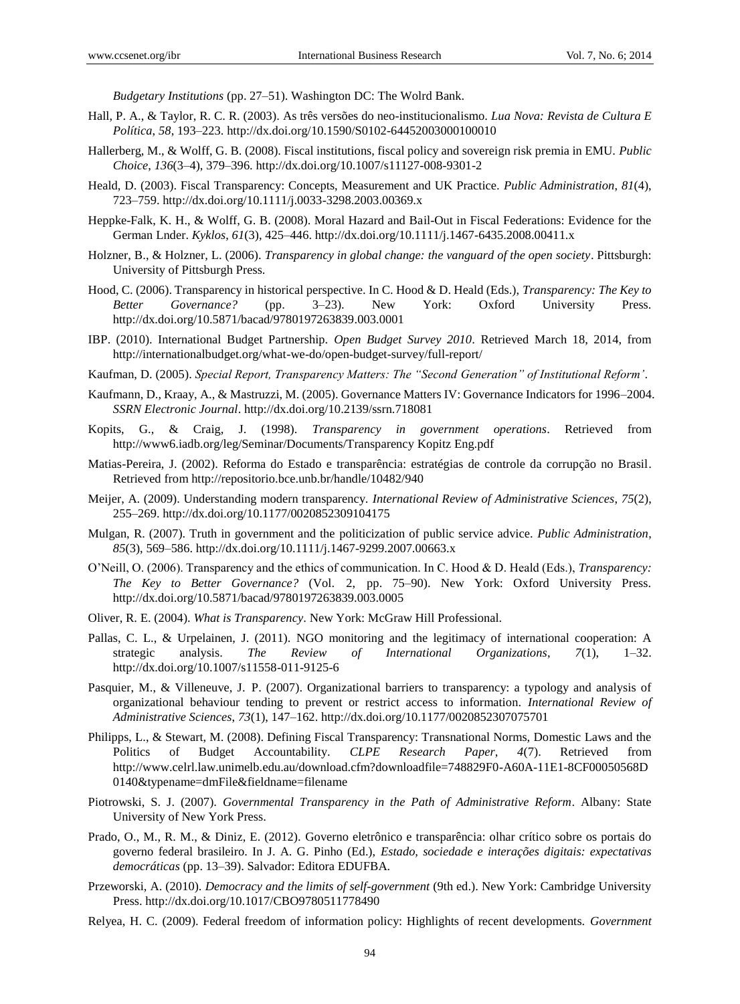*Budgetary Institutions* (pp. 27–51). Washington DC: The Wolrd Bank.

- Hall, P. A., & Taylor, R. C. R. (2003). As três versões do neo-institucionalismo. *Lua Nova: Revista de Cultura E Política*, *58*, 193–223. http://dx.doi.org/10.1590/S0102-64452003000100010
- Hallerberg, M., & Wolff, G. B. (2008). Fiscal institutions, fiscal policy and sovereign risk premia in EMU. *Public Choice*, *136*(3–4), 379–396. http://dx.doi.org/10.1007/s11127-008-9301-2
- Heald, D. (2003). Fiscal Transparency: Concepts, Measurement and UK Practice. *Public Administration*, *81*(4), 723–759. http://dx.doi.org/10.1111/j.0033-3298.2003.00369.x
- Heppke-Falk, K. H., & Wolff, G. B. (2008). Moral Hazard and Bail-Out in Fiscal Federations: Evidence for the German Lnder. *Kyklos*, *61*(3), 425–446. http://dx.doi.org/10.1111/j.1467-6435.2008.00411.x
- Holzner, B., & Holzner, L. (2006). *Transparency in global change: the vanguard of the open society*. Pittsburgh: University of Pittsburgh Press.
- Hood, C. (2006). Transparency in historical perspective. In C. Hood & D. Heald (Eds.), *Transparency: The Key to Better Governance?* (pp. 3–23). New York: Oxford University Press. http://dx.doi.org/10.5871/bacad/9780197263839.003.0001
- IBP. (2010). International Budget Partnership. *Open Budget Survey 2010*. Retrieved March 18, 2014, from http://internationalbudget.org/what-we-do/open-budget-survey/full-report/
- Kaufman, D. (2005). *Special Report, Transparency Matters: The "Second Generation" of Institutional Reform'*.
- Kaufmann, D., Kraay, A., & Mastruzzi, M. (2005). Governance Matters IV: Governance Indicators for 1996–2004. *SSRN Electronic Journal*. http://dx.doi.org/10.2139/ssrn.718081
- Kopits, G., & Craig, J. (1998). *Transparency in government operations*. Retrieved from http://www6.iadb.org/leg/Seminar/Documents/Transparency Kopitz Eng.pdf
- Matias-Pereira, J. (2002). Reforma do Estado e transparência: estratégias de controle da corrupção no Brasil. Retrieved from http://repositorio.bce.unb.br/handle/10482/940
- Meijer, A. (2009). Understanding modern transparency. *International Review of Administrative Sciences*, *75*(2), 255–269. http://dx.doi.org/10.1177/0020852309104175
- Mulgan, R. (2007). Truth in government and the politicization of public service advice. *Public Administration*, *85*(3), 569–586. http://dx.doi.org/10.1111/j.1467-9299.2007.00663.x
- O'Neill, O. (2006). Transparency and the ethics of communication. In C. Hood & D. Heald (Eds.), *Transparency: The Key to Better Governance?* (Vol. 2, pp. 75–90). New York: Oxford University Press. http://dx.doi.org/10.5871/bacad/9780197263839.003.0005
- Oliver, R. E. (2004). *What is Transparency*. New York: McGraw Hill Professional.
- Pallas, C. L., & Urpelainen, J. (2011). NGO monitoring and the legitimacy of international cooperation: A strategic analysis. *The Review of International Organizations*, *7*(1), 1–32. http://dx.doi.org/10.1007/s11558-011-9125-6
- Pasquier, M., & Villeneuve, J. P. (2007). Organizational barriers to transparency: a typology and analysis of organizational behaviour tending to prevent or restrict access to information. *International Review of Administrative Sciences*, *73*(1), 147–162. http://dx.doi.org/10.1177/0020852307075701
- Philipps, L., & Stewart, M. (2008). Defining Fiscal Transparency: Transnational Norms, Domestic Laws and the Politics of Budget Accountability. *CLPE Research Paper*, *4*(7). Retrieved from http://www.celrl.law.unimelb.edu.au/download.cfm?downloadfile=748829F0-A60A-11E1-8CF00050568D 0140&typename=dmFile&fieldname=filename
- Piotrowski, S. J. (2007). *Governmental Transparency in the Path of Administrative Reform*. Albany: State University of New York Press.
- Prado, O., M., R. M., & Diniz, E. (2012). Governo eletrônico e transparência: olhar crítico sobre os portais do governo federal brasileiro. In J. A. G. Pinho (Ed.), *Estado, sociedade e interações digitais: expectativas democráticas* (pp. 13–39). Salvador: Editora EDUFBA.
- Przeworski, A. (2010). *Democracy and the limits of self-government* (9th ed.). New York: Cambridge University Press. http://dx.doi.org/10.1017/CBO9780511778490
- Relyea, H. C. (2009). Federal freedom of information policy: Highlights of recent developments. *Government*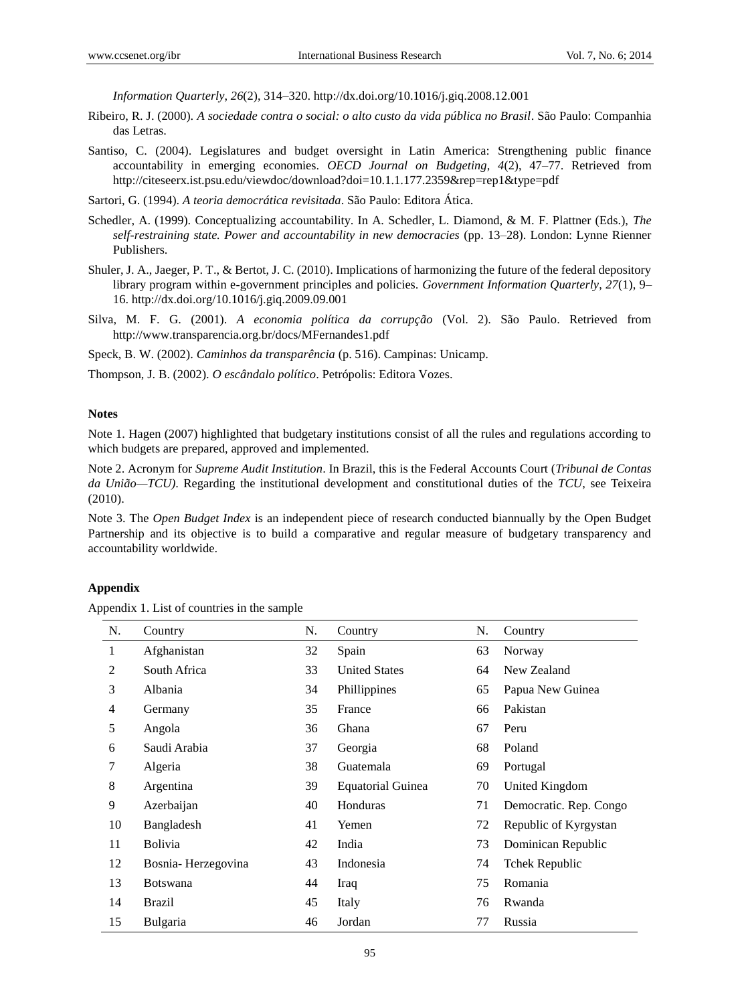*Information Quarterly*, *26*(2), 314–320. http://dx.doi.org/10.1016/j.giq.2008.12.001

- Ribeiro, R. J. (2000). *A sociedade contra o social: o alto custo da vida pública no Brasil*. São Paulo: Companhia das Letras.
- Santiso, C. (2004). Legislatures and budget oversight in Latin America: Strengthening public finance accountability in emerging economies. *OECD Journal on Budgeting*, *4*(2), 47–77. Retrieved from http://citeseerx.ist.psu.edu/viewdoc/download?doi=10.1.1.177.2359&rep=rep1&type=pdf
- Sartori, G. (1994). *A teoria democrática revisitada*. São Paulo: Editora Ática.
- Schedler, A. (1999). Conceptualizing accountability. In A. Schedler, L. Diamond, & M. F. Plattner (Eds.), *The self-restraining state. Power and accountability in new democracies* (pp. 13–28). London: Lynne Rienner Publishers.
- Shuler, J. A., Jaeger, P. T., & Bertot, J. C. (2010). Implications of harmonizing the future of the federal depository library program within e-government principles and policies. *Government Information Quarterly*, *27*(1), 9– 16. http://dx.doi.org/10.1016/j.giq.2009.09.001
- Silva, M. F. G. (2001). *A economia política da corrupção* (Vol. 2). São Paulo. Retrieved from http://www.transparencia.org.br/docs/MFernandes1.pdf

Speck, B. W. (2002). *Caminhos da transparência* (p. 516). Campinas: Unicamp.

Thompson, J. B. (2002). *O escândalo político*. Petrópolis: Editora Vozes.

## **Notes**

Note 1. Hagen (2007) highlighted that budgetary institutions consist of all the rules and regulations according to which budgets are prepared, approved and implemented.

Note 2. Acronym for *Supreme Audit Institution*. In Brazil, this is the Federal Accounts Court (*Tribunal de Contas da União—TCU)*. Regarding the institutional development and constitutional duties of the *TCU*, see Teixeira (2010).

Note 3. The *Open Budget Index* is an independent piece of research conducted biannually by the Open Budget Partnership and its objective is to build a comparative and regular measure of budgetary transparency and accountability worldwide.

#### **Appendix**

Appendix 1. List of countries in the sample

| N. | Country            | N. | Country                  | N. | Country                |
|----|--------------------|----|--------------------------|----|------------------------|
| 1  | Afghanistan        | 32 | Spain                    | 63 | Norway                 |
| 2  | South Africa       | 33 | <b>United States</b>     | 64 | New Zealand            |
| 3  | Albania            | 34 | Phillippines             | 65 | Papua New Guinea       |
| 4  | Germany            | 35 | France                   | 66 | Pakistan               |
| 5  | Angola             | 36 | Ghana                    | 67 | Peru                   |
| 6  | Saudi Arabia       | 37 | Georgia                  | 68 | Poland                 |
| 7  | Algeria            | 38 | Guatemala                | 69 | Portugal               |
| 8  | Argentina          | 39 | <b>Equatorial Guinea</b> | 70 | United Kingdom         |
| 9  | Azerbaijan         | 40 | Honduras                 | 71 | Democratic. Rep. Congo |
| 10 | Bangladesh         | 41 | Yemen                    | 72 | Republic of Kyrgystan  |
| 11 | <b>Bolivia</b>     | 42 | India                    | 73 | Dominican Republic     |
| 12 | Bosnia-Herzegovina | 43 | Indonesia                | 74 | Tchek Republic         |
| 13 | <b>Botswana</b>    | 44 | Iraq                     | 75 | Romania                |
| 14 | <b>Brazil</b>      | 45 | Italy                    | 76 | Rwanda                 |
| 15 | <b>Bulgaria</b>    | 46 | Jordan                   | 77 | Russia                 |